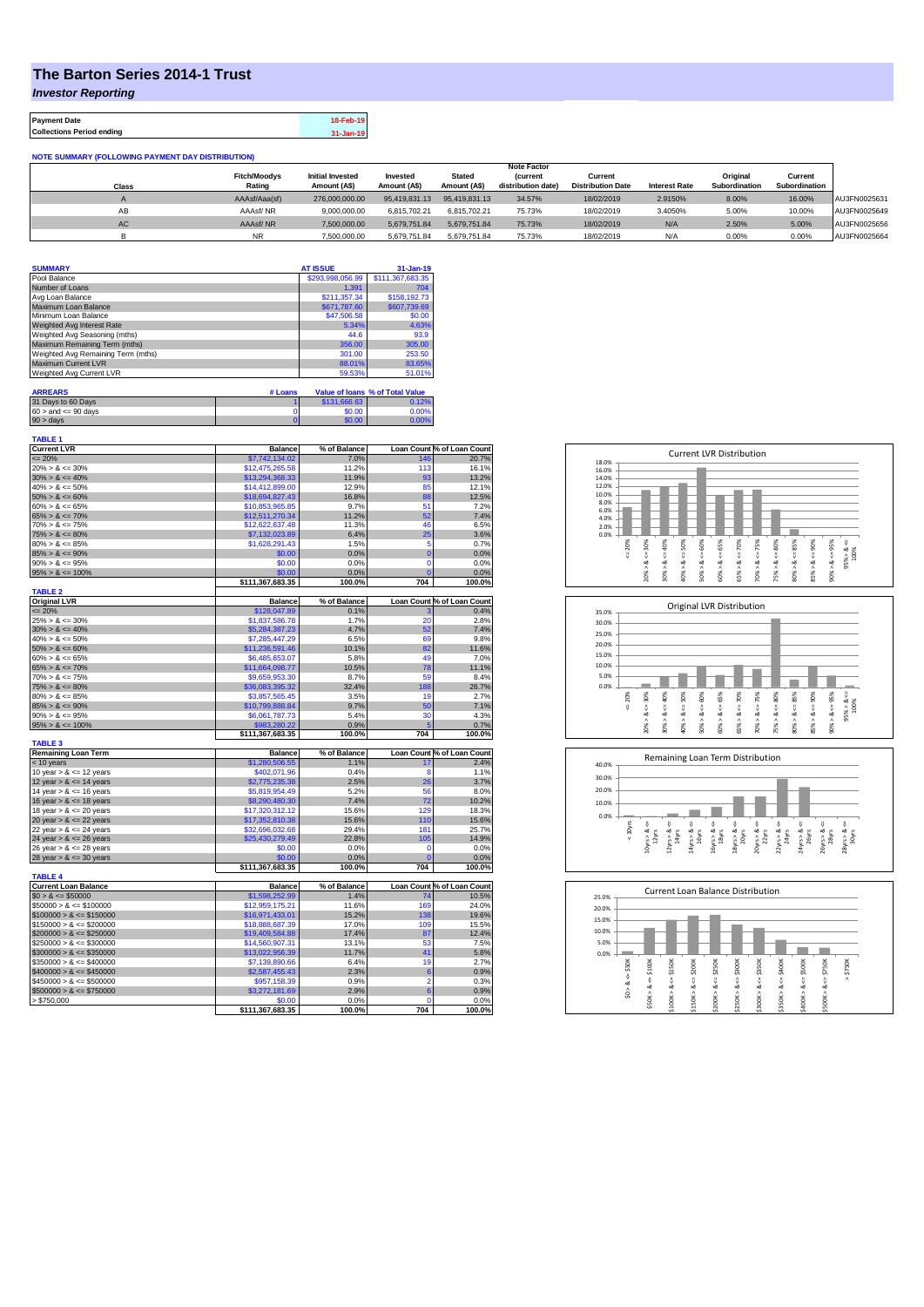## **The Barton Series 2014-1 Trust**

*Investor Reporting*

**Payment Date 18-Feb-19 Collections Period ending 31-Jan-19**

| <b>NOTE SUMMARY (FOLLOWING PAYMENT DAY DISTRIBUTION)</b> |                     |                         |               |               |                    |                          |                      |               |               |              |
|----------------------------------------------------------|---------------------|-------------------------|---------------|---------------|--------------------|--------------------------|----------------------|---------------|---------------|--------------|
|                                                          |                     |                         |               |               | <b>Note Factor</b> |                          |                      |               |               |              |
|                                                          | <b>Fitch/Moodys</b> | <b>Initial Invested</b> | Invested      | <b>Stated</b> | <b>(current</b>    | Current                  |                      | Original      | Current       |              |
| Class                                                    | Rating              | Amount (A\$)            | Amount (A\$)  | Amount (A\$)  | distribution date) | <b>Distribution Date</b> | <b>Interest Rate</b> | Subordination | Subordination |              |
|                                                          | AAAsf/Aaa(sf)       | 276,000,000,00          | 95.419.831.13 | 95.419.831.13 | 34.57%             | 18/02/2019               | 2.9150%              | 8.00%         | 16.00%        | AU3FN0025631 |
| AB                                                       | AAAsf/NR            | 9.000.000.00            | 6.815.702.21  | 6.815.702.21  | 75.73%             | 18/02/2019               | 3.4050%              | 5.00%         | 10.00%        | AU3FN0025649 |
| AC                                                       | AAAsf/NR            | 7.500.000.00            | 5.679.751.84  | 5.679.751.84  | 75.73%             | 18/02/2019               | N/A                  | 2.50%         | 5.00%         | AU3FN0025656 |
|                                                          | <b>NR</b>           | 7.500.000.00            | 5.679.751.84  | 5.679.751.84  | 75.73%             | 18/02/2019               | N/A                  | 0.00%         | 0.00%         | AU3FN0025664 |

| <b>SUMMARY</b>                     |         | <b>AT ISSUE</b>  | $31 - Jan-19$                   |
|------------------------------------|---------|------------------|---------------------------------|
| Pool Balance                       |         | \$293,998,056.99 | \$111,367,683.35                |
| Number of Loans                    |         | 1.391            | 704                             |
| Avg Loan Balance                   |         | \$211.357.34     | \$158,192.73                    |
| Maximum Loan Balance               |         | \$671,787.60     | \$607,739.69                    |
| Minimum Loan Balance               |         | \$47,506.58      | \$0.00                          |
| Weighted Avg Interest Rate         |         | 5.34%            | 4.63%                           |
| Weighted Avg Seasoning (mths)      |         | 44.6             | 93.9                            |
| Maximum Remaining Term (mths)      |         | 356.00           | 305.00                          |
| Weighted Avg Remaining Term (mths) |         | 301.00           | 253.50                          |
| Maximum Current LVR                |         | 88.01%           | 83.65%                          |
| Weighted Avg Current LVR           |         | 59.53%           | 51.01%                          |
|                                    |         |                  |                                 |
| <b>ARREARS</b>                     | # Loans |                  | Value of Ioans % of Total Value |

| 31 Days to 60 Days        | \$131,666,63 | 7.12%    |
|---------------------------|--------------|----------|
| $60 >$ and $\leq 90$ days | \$0.00       | 0.00%    |
| 90 > davs                 | \$0.00       | $0.00\%$ |

| <b>TABLE 1</b><br><b>Current LVR</b>          | <b>Balance</b>                 | % of Balance         |                | Loan Count % of Loan Count |
|-----------------------------------------------|--------------------------------|----------------------|----------------|----------------------------|
| $= 20%$                                       | \$7,742,134.02                 | 7.0%                 | 146            | 20.7%                      |
| $20\% > 8 \le 30\%$                           | \$12,475,265.58                | 11.2%                | 113            | 16.1%                      |
| $30\% > 8 \le 40\%$                           | \$13,294,368.33                | 11.9%                | 93             | 13.2%                      |
| $40\% > 8 \le 50\%$                           | \$14,412,899.00                | 12.9%                | 85             | 12.1%                      |
| $50\% > 8 \le 60\%$                           | \$18,694,827.43                | 16.8%                | 88             | 12.5%                      |
| $60\% > 8 \le 65\%$                           | \$10,853,965.85                | 9.7%                 | 51             | 7.2%                       |
| $65\% > 8 \le 70\%$                           | \$12,511,270.34                | 11.2%                | 52             | 7.4%                       |
| $70\% > 8 \le 75\%$                           | \$12,622,637.48                | 11.3%                | 46             | 6.5%                       |
| $75\% > 8 \le 80\%$                           | \$7,132,023.89                 | 6.4%                 | 25             | 3.6%                       |
| $80\% > 8 \le 85\%$                           | \$1,628,291.43                 | 1.5%                 | 5              | 0.7%                       |
| $85\% > 8 \le 90\%$                           | \$0.00                         | 0.0%                 | $\overline{0}$ | 0.0%                       |
| $90\% > 8 \le 95\%$                           | \$0.00                         | 0.0%                 | $\mathbf 0$    | 0.0%                       |
| $95\% > 8 \le 100\%$                          | \$0.00                         | 0.0%                 | $\overline{0}$ | 0.0%                       |
|                                               | \$111,367,683.35               | 100.0%               | 704            | 100.0%                     |
| <b>TABLE 2</b>                                |                                |                      |                |                            |
| <b>Original LVR</b>                           | <b>Balance</b>                 | % of Balance         |                | Loan Count % of Loan Count |
| $= 20%$                                       | \$128,047.89                   | 0.1%                 | 3              | 0.4%                       |
| $25\% > 8 \le 30\%$                           | \$1,837,586.78                 | 1.7%                 | 20             | 2.8%                       |
| $30\% > 8 \le 40\%$                           | \$5,284,387.23                 | 4.7%                 | 52             | 7.4%                       |
| $40\% > 8 \le 50\%$                           | \$7,285,447.29                 | 6.5%                 | 69             | 9.8%                       |
| $50\% > 8 \le 60\%$                           | \$11,236,591.46                | 10.1%                | 82             | 11.6%                      |
| $60\% > 8 \le 65\%$                           | \$6,485,653.07                 | 5.8%                 | 49             | 7.0%                       |
| $65\% > 8 \le 70\%$                           | \$11,664,098.77                | 10.5%                | 78             | 11.1%                      |
| $70\% > 8 \le 75\%$                           | \$9,659,953.30                 | 8.7%                 | 59             | 8.4%                       |
| $75\% > 8 \le 80\%$                           | \$36,083,395.32                | 32.4%                | 188            | 26.7%                      |
| $80\% > 8 \le 85\%$                           | \$3,857,565.45                 | 3.5%                 | 19             | 2.7%                       |
| $85\% > 8 \le 90\%$<br>$90\% > 8 \le 95\%$    | \$10,799,888.84                | 9.7%<br>5.4%         | 50<br>30       | 7.1%<br>4.3%               |
| $95\% > 8 \le 100\%$                          | \$6,061,787.73<br>\$983.280.22 | 0.9%                 | 5              | 0.7%                       |
|                                               | \$111,367,683.35               | 100.0%               | 704            | 100.0%                     |
| <b>TABLE 3</b>                                |                                |                      |                |                            |
| <b>Remaining Loan Term</b>                    | <b>Balance</b>                 | % of Balance         |                | Loan Count % of Loan Count |
| $<$ 10 years                                  | \$1,280,506.55                 | 1.1%                 | 17             | 2.4%                       |
| 10 year $> 8 \le 12$ years                    | \$402,071.96                   | 0.4%                 | 8              | 1.1%                       |
| 12 year $> 8 \le 14$ years                    | \$2,775,235.38                 | 2.5%                 | 26             | 3.7%                       |
| 14 year $> 8 \le 16$ years                    | \$5,819,954.49                 | 5.2%                 | 56             | 8.0%                       |
| 16 year $> 8 \le 18$ years                    | \$8,290,480.30                 | 7.4%                 | 72             | 10.2%                      |
| 18 year $> 8 \le 20$ years                    | \$17,320,312.12                | 15.6%                | 129            | 18.3%                      |
| 20 year $> 8 \le 22$ years                    | \$17,352,810.38                | 15.6%                | 110            | 15.6%                      |
| 22 year $> 8 \le 24$ years                    | \$32,696,032.68                | 29.4%                | 181            | 25.7%                      |
| 24 year $> 8 \le 26$ years                    | \$25,430,279.49                | 22.8%                | 105            | 14.9%                      |
| 26 year $> 8 \le 28$ years                    | \$0.00                         | 0.0%                 | 0              | 0.0%                       |
| 28 year $> 8 \le 30$ years                    | \$0.00                         | 0.0%                 | $\overline{0}$ | 0.0%                       |
|                                               | \$111,367,683.35               | 100.0%               | 704            | 100.0%                     |
| <b>TABLE 4</b><br><b>Current Loan Balance</b> | <b>Balance</b>                 |                      |                | Loan Count % of Loan Count |
| $$0 > 8 \leq $50000$                          | \$1,598,252.99                 | % of Balance<br>1.4% |                | 10.5%                      |
| $$50000 > 8 \le $100000$                      | \$12,959,175.21                | 11.6%                | 74<br>169      | 24.0%                      |
| $$100000 > 8 \le $150000$                     | \$16,971,433.01                | 15.2%                | 138            | 19.6%                      |
| $$150000 > 8 \le $200000$                     | \$18,888,687.39                | 17.0%                | 109            | 15.5%                      |
| $$200000 > 8 \leq $250000$                    | \$19,409,584.88                | 17.4%                | 87             | 12.4%                      |
| $$250000 > 8 \le $300000$                     | \$14,560,907.31                | 13.1%                | 53             | 7.5%                       |
| $$300000 > 8 \leq $350000$                    | \$13,022,956.39                | 11.7%                | 41             | 5.8%                       |
| $$350000 > 8 \le $400000$                     | \$7,139,890.66                 | 6.4%                 | 19             | 2.7%                       |
| $$400000 > 8 \le $450000$                     | \$2,587,455.43                 | 2.3%                 | 6              | 0.9%                       |
| $$450000 > 8 \le $500000$                     | \$957,158.39                   | 0.9%                 | $\overline{2}$ | 0.3%                       |
| $$500000 > 8 \le $750000$                     | \$3,272,181.69                 | 2.9%                 | 6              | 0.9%                       |
| > \$750,000                                   | \$0.00                         | 0.0%                 | $\mathbf 0$    | 0.0%                       |
|                                               | \$111,367,683.35               | 100.0%               | 704            | 100.0%                     |







| 25.0% |                      |        |             |             |             |         |             |        |        |         |        |
|-------|----------------------|--------|-------------|-------------|-------------|---------|-------------|--------|--------|---------|--------|
| 20.0% |                      |        |             |             |             |         |             |        |        |         |        |
| 15.0% |                      |        |             |             |             |         |             |        |        |         |        |
| 10.0% |                      |        |             |             |             |         |             |        |        |         |        |
| 5.0%  |                      |        |             |             |             |         |             |        |        |         |        |
| 0.0%  |                      |        |             |             |             |         |             |        |        |         |        |
|       | \$50K                | \$100K | \$150K      | \$200K      | \$250K      | \$300K  | \$350K      | \$400K | \$500K | \$750K  | \$750K |
|       | $\frac{1}{\sqrt{2}}$ | 8      | U           | ő           | ű           | IJ      |             | ű      |        | V       | Λ      |
|       | త                    | œ      | œ           | ∞           | œ           | ∞       | œ           | ∞      | œ      | ∞       |        |
|       | $\hat{s}$            | \$50K> | Λ<br>\$100K | ٨<br>\$150K | ۸<br>\$200K | \$250K> | Λ<br>\$300K | \$350K | \$400K | \$500K> |        |